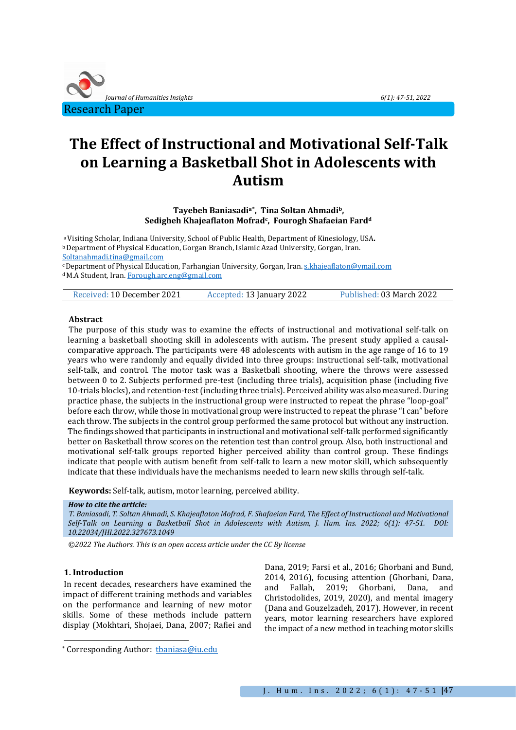

# **The Effect of Instructional and Motivational Self-Talk on Learning a Basketball Shot in Adolescents with Autism**

**Tayebeh Baniasadia[\\*](#page-0-0), Tina Soltan Ahmadib, Sedigheh Khajeaflaton Mofradc, Fourogh Shafaeian Fardd**

a Visiting Scholar, Indiana University, School of Public Health, Department of Kinesiology, USA**.** b Department of Physical Education, Gorgan Branch, Islamic Azad University, Gorgan, Iran. [Soltanahmadi.tina@gmail.com](mailto:Soltanahmadi.tina@gmail.com)

c Department of Physical Education, Farhangian University, Gorgan, Iran[. s.khajeaflaton@ymail.com](mailto:s.khajeaflaton@ymail.com) d M.A Student, Iran[. Forough.arc.eng@gmail.com](mailto:Forough.arc.eng@gmail.com)

| Received: 10 December 2021 | Accepted: 13 January 2022 | Published: 03 March 2022 |
|----------------------------|---------------------------|--------------------------|
|                            |                           |                          |

### **Abstract**

The purpose of this study was to examine the effects of instructional and motivational self-talk on learning a basketball shooting skill in adolescents with autism**.** The present study applied a causalcomparative approach. The participants were 48 adolescents with autism in the age range of 16 to 19 years who were randomly and equally divided into three groups: instructional self-talk, motivational self-talk, and control. The motor task was a Basketball shooting, where the throws were assessed between 0 to 2. Subjects performed pre-test (including three trials), acquisition phase (including five 10-trials blocks), and retention-test (including three trials). Perceived ability was also measured. During practice phase, the subjects in the instructional group were instructed to repeat the phrase "loop-goal" before each throw, while those in motivational group were instructed to repeat the phrase "I can" before each throw. The subjects in the control group performed the same protocol but without any instruction. The findings showed that participants in instructional and motivational self-talk performed significantly better on Basketball throw scores on the retention test than control group. Also, both instructional and motivational self-talk groups reported higher perceived ability than control group. These findings indicate that people with autism benefit from self-talk to learn a new motor skill, which subsequently indicate that these individuals have the mechanisms needed to learn new skills through self-talk.

**Keywords:** Self-talk, autism, motor learning, perceived ability.

#### *How to cite the article:*

*T. Baniasadi, T. Soltan Ahmadi, S. Khajeaflaton Mofrad, F. Shafaeian Fard, The Effect of Instructional and Motivational Self-Talk on Learning a Basketball Shot in Adolescents with Autism, J. Hum. Ins. 2022; 6(1): 47-51. DOI: 10.22034/JHI.2022.327673.1049*

*©2022 The Authors. This is an open access article under the CC By license*

## **1. Introduction**

In recent decades, researchers have examined the impact of different training methods and variables on the performance and learning of new motor skills. Some of these methods include pattern display (Mokhtari, Shojaei, Dana, 2007; Rafiei and Dana, 2019; Farsi et al., 2016; Ghorbani and Bund, 2014, 2016), focusing attention (Ghorbani, Dana, and Fallah, 2019; Ghorbani, Dana, and and Fallah, 2019; Ghorbani, Dana, and Christodolides, 2019, 2020), and mental imagery (Dana and Gouzelzadeh, 2017). However, in recent years, motor learning researchers have explored the impact of a new method in teaching motor skills

<span id="page-0-0"></span><sup>\*</sup> Corresponding Author: [tbaniasa@iu.edu](mailto:tbaniasa@iu.edu)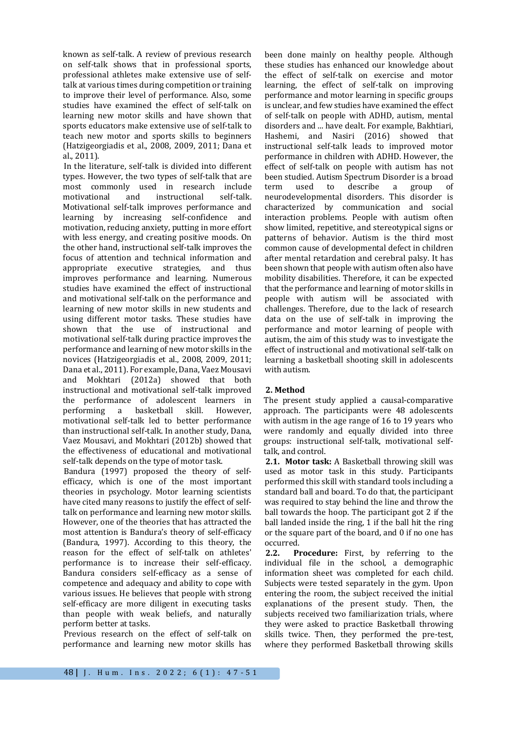known as self-talk. A review of previous research on self-talk shows that in professional sports, professional athletes make extensive use of selftalk at various times during competition or training to improve their level of performance. Also, some studies have examined the effect of self-talk on learning new motor skills and have shown that sports educators make extensive use of self-talk to teach new motor and sports skills to beginners (Hatzigeorgiadis et al., 2008, 2009, 2011; Dana et al., 2011).

In the literature, self-talk is divided into different types. However, the two types of self-talk that are most commonly used in research include<br>motivational and instructional self-talk. motivational and instructional self-talk. Motivational self-talk improves performance and learning by increasing self-confidence and motivation, reducing anxiety, putting in more effort with less energy, and creating positive moods. On the other hand, instructional self-talk improves the focus of attention and technical information and appropriate executive strategies, improves performance and learning. Numerous studies have examined the effect of instructional and motivational self-talk on the performance and learning of new motor skills in new students and using different motor tasks. These studies have shown that the use of instructional and motivational self-talk during practice improves the performance and learning of new motor skills in the novices (Hatzigeorgiadis et al., 2008, 2009, 2011; Dana et al., 2011). For example, Dana, Vaez Mousavi and Mokhtari (2012a) showed that both instructional and motivational self-talk improved the performance of adolescent learners in<br>performing a basketball skill. However, performing motivational self-talk led to better performance than instructional self-talk. In another study, Dana, Vaez Mousavi, and Mokhtari (2012b) showed that the effectiveness of educational and motivational self-talk depends on the type of motor task.

Bandura (1997) proposed the theory of selfefficacy, which is one of the most important theories in psychology. Motor learning scientists have cited many reasons to justify the effect of selftalk on performance and learning new motor skills. However, one of the theories that has attracted the most attention is Bandura's theory of self-efficacy (Bandura, 1997). According to this theory, the reason for the effect of self-talk on athletes' performance is to increase their self-efficacy. Bandura considers self-efficacy as a sense of competence and adequacy and ability to cope with various issues. He believes that people with strong self-efficacy are more diligent in executing tasks than people with weak beliefs, and naturally perform better at tasks.

Previous research on the effect of self-talk on performance and learning new motor skills has been done mainly on healthy people. Although these studies has enhanced our knowledge about the effect of self-talk on exercise and motor learning, the effect of self-talk on improving performance and motor learning in specific groups is unclear, and few studies have examined the effect of self-talk on people with ADHD, autism, mental disorders and ... have dealt. For example, Bakhtiari, Hashemi, and Nasiri (2016) showed that instructional self-talk leads to improved motor performance in children with ADHD. However, the effect of self-talk on people with autism has not been studied. Autism Spectrum Disorder is a broad<br>term used to describe a group of term used to describe a group of neurodevelopmental disorders. This disorder is characterized by communication and social interaction problems. People with autism often show limited, repetitive, and stereotypical signs or patterns of behavior. Autism is the third most common cause of developmental defect in children after mental retardation and cerebral palsy. It has been shown that people with autism often also have mobility disabilities. Therefore, it can be expected that the performance and learning of motor skills in people with autism will be associated with challenges. Therefore, due to the lack of research data on the use of self-talk in improving the performance and motor learning of people with autism, the aim of this study was to investigate the effect of instructional and motivational self-talk on learning a basketball shooting skill in adolescents with autism.

## **2. Method**

The present study applied a causal-comparative approach. The participants were 48 adolescents with autism in the age range of 16 to 19 years who were randomly and equally divided into three groups: instructional self-talk, motivational selftalk, and control.

**2.1. Motor task:** A Basketball throwing skill was used as motor task in this study. Participants performed this skill with standard tools including a standard ball and board. To do that, the participant was required to stay behind the line and throw the ball towards the hoop. The participant got 2 if the ball landed inside the ring, 1 if the ball hit the ring or the square part of the board, and 0 if no one has occurred.<br>2.2. P

Procedure: First, by referring to the individual file in the school, a demographic information sheet was completed for each child. Subjects were tested separately in the gym. Upon entering the room, the subject received the initial explanations of the present study. Then, the subjects received two familiarization trials, where they were asked to practice Basketball throwing skills twice. Then, they performed the pre-test, where they performed Basketball throwing skills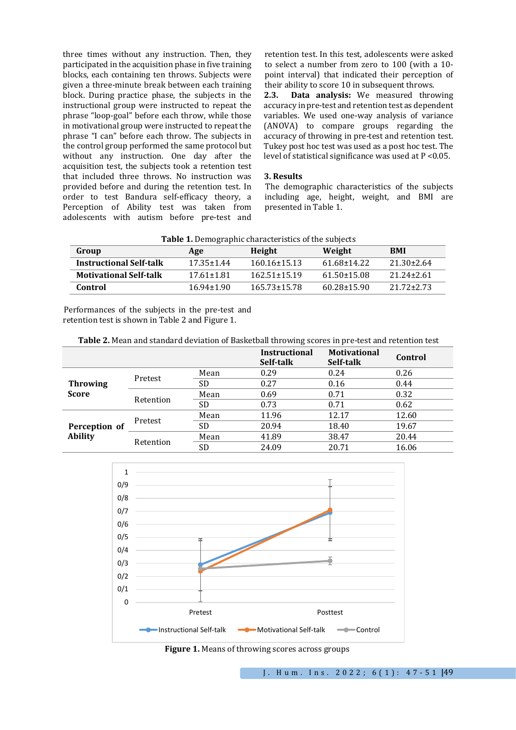three times without any instruction. Then, they participated in the acquisition phase in five training blocks, each containing ten throws. Subjects were given a three-minute break between each training block. During practice phase, the subjects in the instructional group were instructed to repeat the phrase "loop-goal" before each throw, while those in motivational group were instructed to repeat the phrase "I can" before each throw. The subjects in the control group performed the same protocol but without any instruction. One day after the acquisition test, the subjects took a retention test that included three throws. No instruction was provided before and during the retention test. In order to test Bandura self-efficacy theory, a Perception of Ability test was taken from adolescents with autism before pre-test and retention test. In this test, adolescents were asked to select a number from zero to 100 (with a 10 point interval) that indicated their perception of their ability to score 10 in subsequent throws.<br>2.3. **Data analysis:** We measured throw

**2.3. Data analysis:** We measured throwing accuracy in pre-test and retention test as dependent variables. We used one-way analysis of variance (ANOVA) to compare groups regarding the accuracy of throwing in pre-test and retention test. Tukey post hoc test was used as a post hoc test. The level of statistical significance was used at P <0.05.

## **3. Results**

The demographic characteristics of the subjects including age, height, weight, and BMI are presented in Table 1.

|--|

| Group                          | Age              | Height             | Weight            | <b>BMI</b>       |
|--------------------------------|------------------|--------------------|-------------------|------------------|
| <b>Instructional Self-talk</b> | $17.35 \pm 1.44$ | $160.16 \pm 15.13$ | 61.68+14.22       | $21.30 \pm 2.64$ |
| <b>Motivational Self-talk</b>  | $17.61 \pm 1.81$ | $162.51 \pm 15.19$ | $61.50 \pm 15.08$ | $21.24 \pm 2.61$ |
| Control                        | $16.94 \pm 1.90$ | $165.73 \pm 15.78$ | $60.28 \pm 15.90$ | $21.72 \pm 2.73$ |

Performances of the subjects in the pre-test and retention test is shown in Table 2 and Figure 1.

**Table 2.** Mean and standard deviation of Basketball throwing scores in pre-test and retention test

|                                 |           |           | <b>Instructional</b><br>Self-talk | <b>Motivational</b><br>Self-talk | Control |
|---------------------------------|-----------|-----------|-----------------------------------|----------------------------------|---------|
| <b>Throwing</b><br><b>Score</b> | Pretest   | Mean      | 0.29                              | 0.24                             | 0.26    |
|                                 |           | <b>SD</b> | 0.27                              | 0.16                             | 0.44    |
|                                 | Retention | Mean      | 0.69                              | 0.71                             | 0.32    |
|                                 |           | <b>SD</b> | 0.73                              | 0.71                             | 0.62    |
| Perception of<br><b>Ability</b> | Pretest   | Mean      | 11.96                             | 12.17                            | 12.60   |
|                                 |           | <b>SD</b> | 20.94                             | 18.40                            | 19.67   |
|                                 | Retention | Mean      | 41.89                             | 38.47                            | 20.44   |
|                                 |           | SD        | 24.09                             | 20.71                            | 16.06   |



**Figure 1.** Means of throwing scores across groups

J. Hum. Ins. 2 0 2 2 ; 6 ( 1 ): 4 7 - 5 1 **|**49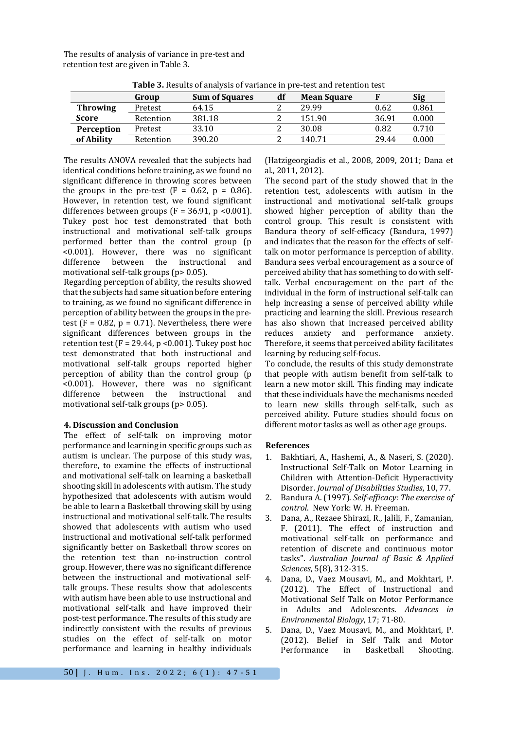The results of analysis of variance in pre-test and retention test are given in Table 3.

| <b>rapic 5.</b> Results by alialysis or variance in pre-test and retention test |                       |    |                    |       |       |
|---------------------------------------------------------------------------------|-----------------------|----|--------------------|-------|-------|
| Group                                                                           | <b>Sum of Squares</b> | df | <b>Mean Square</b> |       | Sig   |
| Pretest                                                                         | 64.15                 |    | 29.99              | 0.62  | 0.861 |
| Retention                                                                       | 381.18                |    | 151.90             | 36.91 | 0.000 |
| Pretest                                                                         | 33.10                 |    | 30.08              | 0.82  | 0.710 |
| Retention                                                                       | 390.20                |    | 140.71             | 29.44 | 0.000 |
|                                                                                 |                       |    |                    |       |       |

**Table 3.** Results of analysis of variance in pre-test and retention test

The results ANOVA revealed that the subjects had identical conditions before training, as we found no significant difference in throwing scores between the groups in the pre-test  $(F = 0.62, p = 0.86)$ . However, in retention test, we found significant differences between groups ( $F = 36.91$ ,  $p < 0.001$ ). Tukey post hoc test demonstrated that both instructional and motivational self-talk groups performed better than the control group (p <0.001). However, there was no significant difference between the instructional and motivational self-talk groups (p> 0.05).

Regarding perception of ability, the results showed that the subjects had same situation before entering to training, as we found no significant difference in perception of ability between the groups in the pretest ( $F = 0.82$ ,  $p = 0.71$ ). Nevertheless, there were significant differences between groups in the retention test ( $F = 29.44$ ,  $p < 0.001$ ). Tukey post hoc test demonstrated that both instructional and motivational self-talk groups reported higher perception of ability than the control group (p <0.001). However, there was no significant difference between the motivational self-talk groups (p> 0.05).

#### **4. Discussion and Conclusion**

The effect of self-talk on improving motor performance and learning in specific groups such as autism is unclear. The purpose of this study was, therefore, to examine the effects of instructional and motivational self-talk on learning a basketball shooting skill in adolescents with autism. The study hypothesized that adolescents with autism would be able to learn a Basketball throwing skill by using instructional and motivational self-talk. The results showed that adolescents with autism who used instructional and motivational self-talk performed significantly better on Basketball throw scores on the retention test than no-instruction control group. However, there was no significant difference between the instructional and motivational selftalk groups. These results show that adolescents with autism have been able to use instructional and motivational self-talk and have improved their post-test performance. The results of this study are indirectly consistent with the results of previous studies on the effect of self-talk on motor performance and learning in healthy individuals

(Hatzigeorgiadis et al., 2008, 2009, 2011; Dana et al., 2011, 2012).

The second part of the study showed that in the retention test, adolescents with autism in the instructional and motivational self-talk groups showed higher perception of ability than the control group. This result is consistent with Bandura theory of self-efficacy (Bandura, 1997) and indicates that the reason for the effects of selftalk on motor performance is perception of ability. Bandura sees verbal encouragement as a source of perceived ability that has something to do with selftalk. Verbal encouragement on the part of the individual in the form of instructional self-talk can help increasing a sense of perceived ability while practicing and learning the skill. Previous research has also shown that increased perceived ability reduces anxiety and performance anxiety. Therefore, it seems that perceived ability facilitates learning by reducing self-focus.

To conclude, the results of this study demonstrate that people with autism benefit from self-talk to learn a new motor skill. This finding may indicate that these individuals have the mechanisms needed to learn new skills through self-talk, such as perceived ability. Future studies should focus on different motor tasks as well as other age groups.

#### **References**

- 1. Bakhtiari, A., Hashemi, A., & Naseri, S. (2020). Instructional Self-Talk on Motor Learning in Children with Attention-Deficit Hyperactivity Disorder. *Journal of Disabilities Studies*, 10, 77.
- 2. Bandura A. (1997). *Self-efficacy: The exercise of control*. New York: W. H. Freeman.
- 3. Dana, A., Rezaee Shirazi, R., Jalili, F., Zamanian, F. (2011). The effect of instruction and motivational self-talk on performance and retention of discrete and continuous motor tasks". *Australian Journal of Basic & Applied Sciences*, 5(8), 312-315.
- 4. Dana, D., Vaez Mousavi, M., and Mokhtari, P. (2012). The Effect of Instructional and Motivational Self Talk on Motor Performance in Adults and Adolescents. *Advances in Environmental Biology*, 17; 71-80.
- 5. Dana, D., Vaez Mousavi, M., and Mokhtari, P. (2012). Belief in Self Talk and Motor<br>Performance in Basketball Shooting. Performance